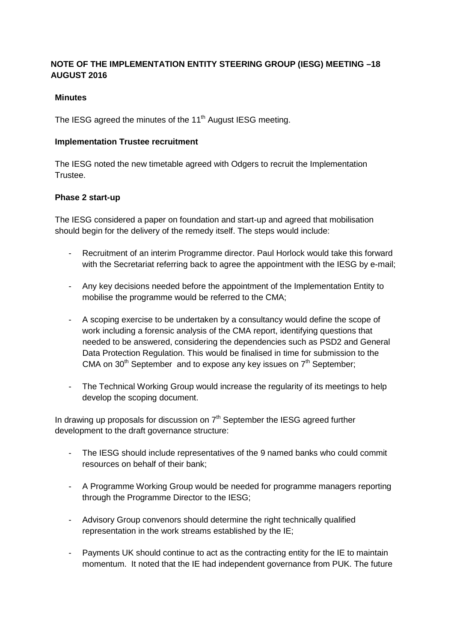# **NOTE OF THE IMPLEMENTATION ENTITY STEERING GROUP (IESG) MEETING –18 AUGUST 2016**

## **Minutes**

The IESG agreed the minutes of the 11<sup>th</sup> August IESG meeting.

### **Implementation Trustee recruitment**

The IESG noted the new timetable agreed with Odgers to recruit the Implementation Trustee.

## **Phase 2 start-up**

The IESG considered a paper on foundation and start-up and agreed that mobilisation should begin for the delivery of the remedy itself. The steps would include:

- Recruitment of an interim Programme director. Paul Horlock would take this forward with the Secretariat referring back to agree the appointment with the IESG by e-mail;
- Any key decisions needed before the appointment of the Implementation Entity to mobilise the programme would be referred to the CMA;
- A scoping exercise to be undertaken by a consultancy would define the scope of work including a forensic analysis of the CMA report, identifying questions that needed to be answered, considering the dependencies such as PSD2 and General Data Protection Regulation. This would be finalised in time for submission to the CMA on  $30<sup>th</sup>$  September and to expose any key issues on  $7<sup>th</sup>$  September;
- The Technical Working Group would increase the regularity of its meetings to help develop the scoping document.

In drawing up proposals for discussion on  $7<sup>th</sup>$  September the IESG agreed further development to the draft governance structure:

- The IESG should include representatives of the 9 named banks who could commit resources on behalf of their bank;
- A Programme Working Group would be needed for programme managers reporting through the Programme Director to the IESG;
- Advisory Group convenors should determine the right technically qualified representation in the work streams established by the IE;
- Payments UK should continue to act as the contracting entity for the IE to maintain momentum. It noted that the IE had independent governance from PUK. The future